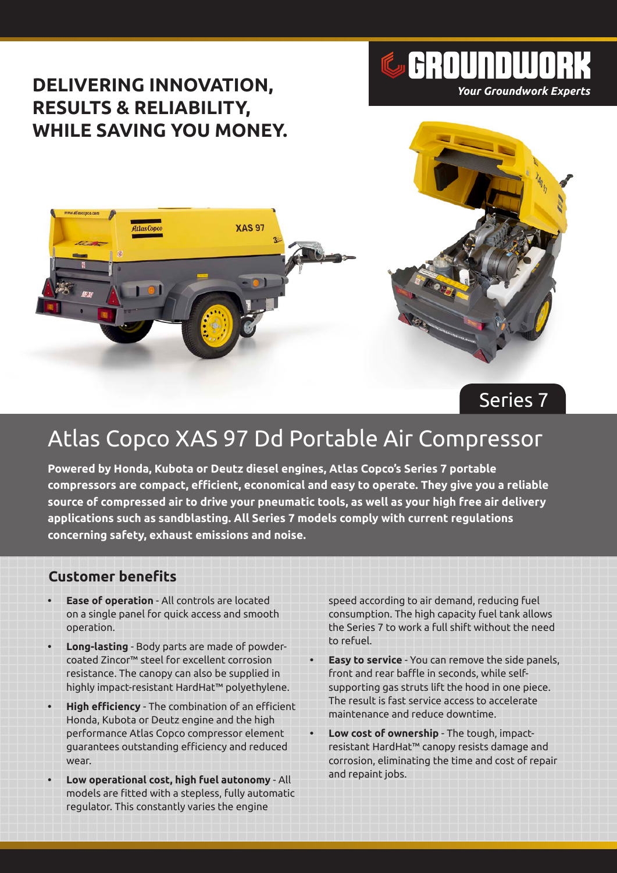

# Atlas Copco XAS 97 Dd Portable Air Compressor

**Powered by Honda, Kubota or Deutz diesel engines, Atlas Copco's Series 7 portable compressors are compact, efficient, economical and easy to operate. They give you a reliable source of compressed air to drive your pneumatic tools, as well as your high free air delivery applications such as sandblasting. All Series 7 models comply with current regulations concerning safety, exhaust emissions and noise.**

### **Customer benefits**

- **• Ease of operation** All controls are located on a single panel for quick access and smooth operation.
- **• Long-lasting** Body parts are made of powdercoated Zincor™ steel for excellent corrosion resistance. The canopy can also be supplied in highly impact-resistant HardHat™ polyethylene.
- **• High efficiency** The combination of an efficient Honda, Kubota or Deutz engine and the high performance Atlas Copco compressor element guarantees outstanding efficiency and reduced wear.
- **• Low operational cost, high fuel autonomy** All models are fitted with a stepless, fully automatic regulator. This constantly varies the engine

speed according to air demand, reducing fuel consumption. The high capacity fuel tank allows the Series 7 to work a full shift without the need to refuel.

- **• Easy to service** You can remove the side panels, front and rear baffle in seconds, while selfsupporting gas struts lift the hood in one piece. The result is fast service access to accelerate maintenance and reduce downtime.
- **• Low cost of ownership** The tough, impactresistant HardHat™ canopy resists damage and corrosion, eliminating the time and cost of repair and repaint jobs.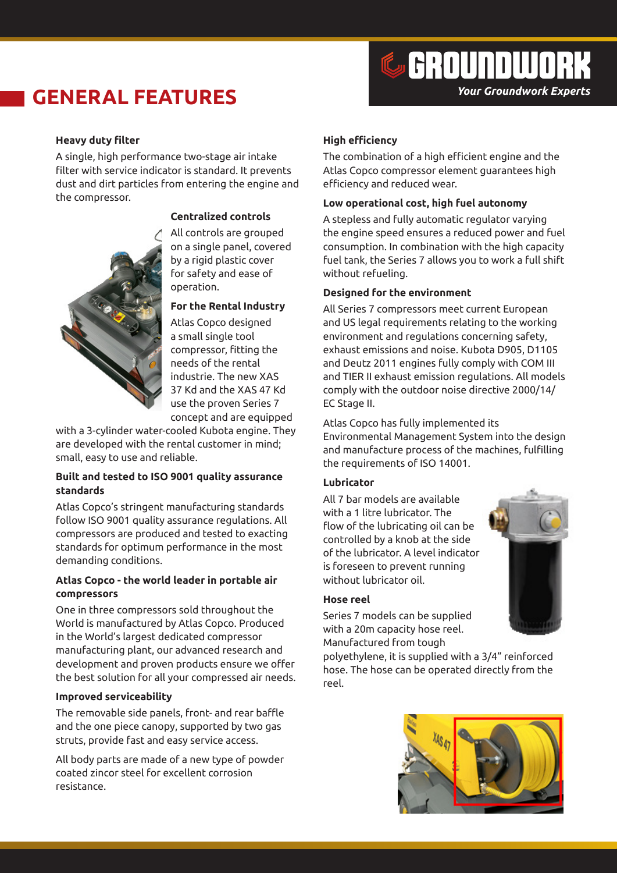## **GENERAL FEATURES**



#### **Heavy duty filter**

A single, high performance two-stage air intake filter with service indicator is standard. It prevents dust and dirt particles from entering the engine and the compressor.



#### **Centralized controls**

All controls are grouped on a single panel, covered by a rigid plastic cover for safety and ease of operation.

#### **For the Rental Industry**

Atlas Copco designed a small single tool compressor, fitting the needs of the rental industrie. The new XAS 37 Kd and the XAS 47 Kd use the proven Series 7 concept and are equipped

with a 3-cylinder water-cooled Kubota engine. They are developed with the rental customer in mind; small, easy to use and reliable.

#### **Built and tested to ISO 9001 quality assurance standards**

Atlas Copco's stringent manufacturing standards follow ISO 9001 quality assurance regulations. All compressors are produced and tested to exacting standards for optimum performance in the most demanding conditions.

#### **Atlas Copco - the world leader in portable air compressors**

One in three compressors sold throughout the World is manufactured by Atlas Copco. Produced in the World's largest dedicated compressor manufacturing plant, our advanced research and development and proven products ensure we offer the best solution for all your compressed air needs.

#### **Improved serviceability**

The removable side panels, front- and rear baffle and the one piece canopy, supported by two gas struts, provide fast and easy service access.

All body parts are made of a new type of powder coated zincor steel for excellent corrosion resistance.

#### **High efficiency**

The combination of a high efficient engine and the Atlas Copco compressor element guarantees high efficiency and reduced wear.

#### **Low operational cost, high fuel autonomy**

A stepless and fully automatic regulator varying the engine speed ensures a reduced power and fuel consumption. In combination with the high capacity fuel tank, the Series 7 allows you to work a full shift without refueling.

#### **Designed for the environment**

All Series 7 compressors meet current European and US legal requirements relating to the working environment and regulations concerning safety, exhaust emissions and noise. Kubota D905, D1105 and Deutz 2011 engines fully comply with COM III and TIER II exhaust emission regulations. All models comply with the outdoor noise directive 2000/14/ EC Stage II.

Atlas Copco has fully implemented its Environmental Management System into the design and manufacture process of the machines, fulfilling the requirements of ISO 14001.

#### **Lubricator**

All 7 bar models are available with a 1 litre lubricator. The flow of the lubricating oil can be controlled by a knob at the side of the lubricator. A level indicator is foreseen to prevent running without lubricator oil.



#### **Hose reel**

Series 7 models can be supplied with a 20m capacity hose reel. Manufactured from tough

polyethylene, it is supplied with a 3/4" reinforced hose. The hose can be operated directly from the reel.

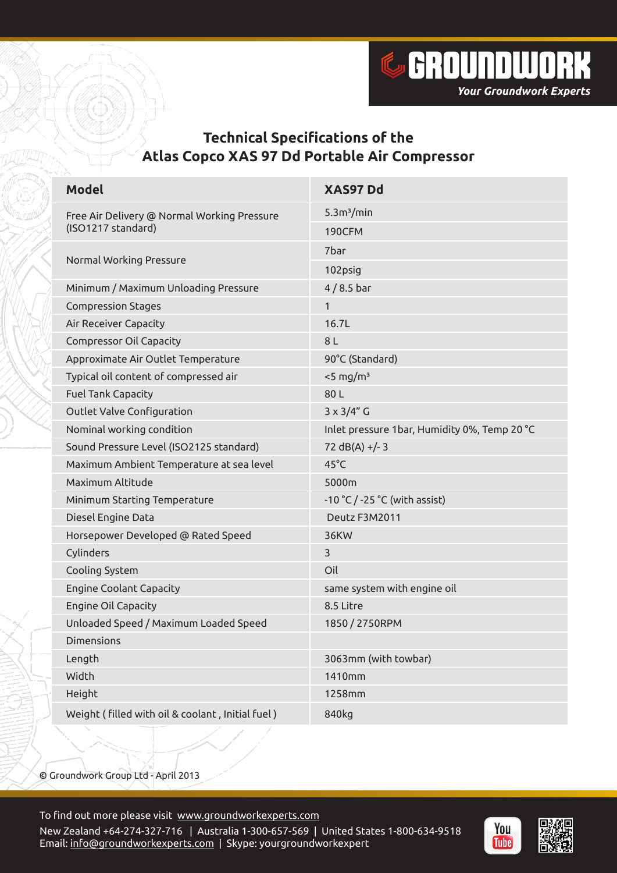

## **Technical Specifications of the Atlas Copco XAS 97 Dd Portable Air Compressor**

| <b>Model</b>                                                      | XAS97 Dd                                     |
|-------------------------------------------------------------------|----------------------------------------------|
| Free Air Delivery @ Normal Working Pressure<br>(ISO1217 standard) | 5.3m <sup>3</sup> /min                       |
|                                                                   | <b>190CFM</b>                                |
| Normal Working Pressure                                           | 7bar                                         |
|                                                                   | 102psig                                      |
| Minimum / Maximum Unloading Pressure                              | $4/8.5$ bar                                  |
| <b>Compression Stages</b>                                         | $\mathbf{1}$                                 |
| Air Receiver Capacity                                             | 16.7L                                        |
| <b>Compressor Oil Capacity</b>                                    | 8 L                                          |
| Approximate Air Outlet Temperature                                | 90°C (Standard)                              |
| Typical oil content of compressed air                             | $<$ 5 mg/m <sup>3</sup>                      |
| <b>Fuel Tank Capacity</b>                                         | 80L                                          |
| Outlet Valve Configuration                                        | $3 \times 3/4"$ G                            |
| Nominal working condition                                         | Inlet pressure 1bar, Humidity 0%, Temp 20 °C |
| Sound Pressure Level (ISO2125 standard)                           | $72 dB(A) + (-3)$                            |
| Maximum Ambient Temperature at sea level                          | $45^{\circ}$ C                               |
| Maximum Altitude                                                  | 5000m                                        |
| Minimum Starting Temperature                                      | -10 °C / -25 °C (with assist)                |
| Diesel Engine Data                                                | Deutz F3M2011                                |
| Horsepower Developed @ Rated Speed                                | <b>36KW</b>                                  |
| Cylinders                                                         | 3                                            |
| Cooling System                                                    | Oil                                          |
| <b>Engine Coolant Capacity</b>                                    | same system with engine oil                  |
| Engine Oil Capacity                                               | 8.5 Litre                                    |
| Unloaded Speed / Maximum Loaded Speed                             | 1850 / 2750RPM                               |
| <b>Dimensions</b>                                                 |                                              |
| Length                                                            | 3063mm (with towbar)                         |
| Width                                                             | 1410mm                                       |
| Height                                                            | 1258mm                                       |
| Weight (filled with oil & coolant, Initial fuel)                  | 840kg                                        |

© Groundwork Group Ltd - April 2013

To find out more please visit [www.groundworkexperts.com](http://www.groundworkexperts.com) New Zealand +64-274-327-716 | Australia 1-300-657-569 | United States 1-800-634-9518 Email: [info@groundworkexperts.com](mailto:info@groundworkexperts.com) | Skype: yourgroundworkexpert